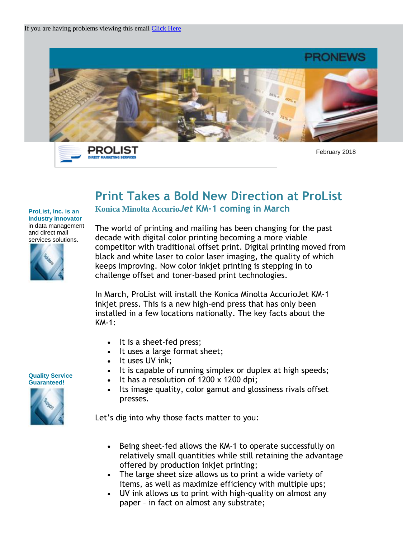



February 2018

## **Print Takes a Bold New Direction at ProList Konica Minolta Accurio***Jet* **KM-1 coming in March**

## **ProList, Inc. is an Industry Innovator** in data management and direct mail services solutions.



The world of printing and mailing has been changing for the past decade with digital color printing becoming a more viable competitor with traditional offset print. Digital printing moved from black and white laser to color laser imaging, the quality of which keeps improving. Now color inkjet printing is stepping in to challenge offset and toner-based print technologies.

In March, ProList will install the Konica Minolta AccurioJet KM-1 inkjet press. This is a new high-end press that has only been installed in a few locations nationally. The key facts about the KM-1:

- It is a sheet-fed press;
- It uses a large format sheet;
- It uses UV ink;
- It is capable of running simplex or duplex at high speeds;
- $\cdot$  It has a resolution of 1200 x 1200 dpi;
- Its image quality, color gamut and glossiness rivals offset presses.

Let's dig into why those facts matter to you:

- Being sheet-fed allows the KM-1 to operate successfully on relatively small quantities while still retaining the advantage offered by production inkjet printing;
- The large sheet size allows us to print a wide variety of items, as well as maximize efficiency with multiple ups;
- UV ink allows us to print with high-quality on almost any paper – in fact on almost any substrate;

**Quality Service Guaranteed!** 

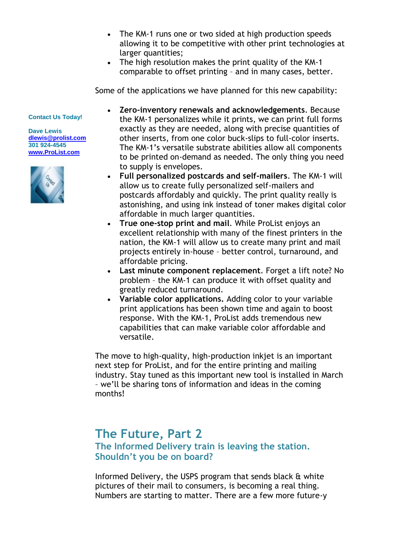- The KM-1 runs one or two sided at high production speeds allowing it to be competitive with other print technologies at larger quantities;
- The high resolution makes the print quality of the KM-1 comparable to offset printing – and in many cases, better.

Some of the applications we have planned for this new capability:

## **Contact Us Today!**

**Dave Lewis [dlewis@prolist.com](mailto:dlewis@prolist.com) 301 924-4545 [www.ProList.com](http://trk.publicaster.com/click/c2f1-ujoiw-gvrhvt-73hxzcz6/)**



- **Zero-inventory renewals and acknowledgements**. Because the KM-1 personalizes while it prints, we can print full forms exactly as they are needed, along with precise quantities of other inserts, from one color buck-slips to full-color inserts. The KM-1's versatile substrate abilities allow all components to be printed on-demand as needed. The only thing you need to supply is envelopes.
- **Full personalized postcards and self-mailers**. The KM-1 will allow us to create fully personalized self-mailers and postcards affordably and quickly. The print quality really is astonishing, and using ink instead of toner makes digital color affordable in much larger quantities.
- **True one-stop print and mail**. While ProList enjoys an excellent relationship with many of the finest printers in the nation, the KM-1 will allow us to create many print and mail projects entirely in-house – better control, turnaround, and affordable pricing.
- **Last minute component replacement**. Forget a lift note? No problem – the KM-1 can produce it with offset quality and greatly reduced turnaround.
- **Variable color applications.** Adding color to your variable print applications has been shown time and again to boost response. With the KM-1, ProList adds tremendous new capabilities that can make variable color affordable and versatile.

The move to high-quality, high-production inkjet is an important next step for ProList, and for the entire printing and mailing industry. Stay tuned as this important new tool is installed in March – we'll be sharing tons of information and ideas in the coming months!

## **The Future, Part 2**

**The Informed Delivery train is leaving the station. Shouldn't you be on board?**

Informed Delivery, the USPS program that sends black & white pictures of their mail to consumers, is becoming a real thing. Numbers are starting to matter. There are a few more future-y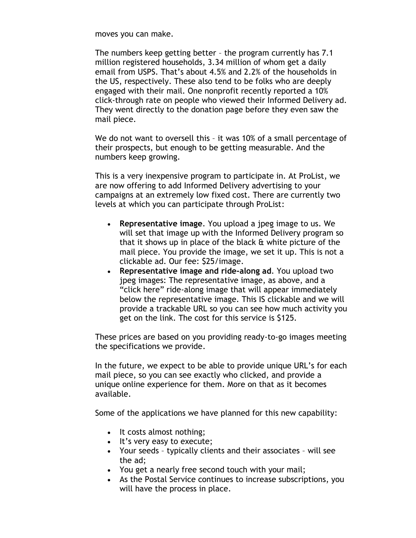moves you can make.

The numbers keep getting better – the program currently has 7.1 million registered households, 3.34 million of whom get a daily email from USPS. That's about 4.5% and 2.2% of the households in the US, respectively. These also tend to be folks who are deeply engaged with their mail. One nonprofit recently reported a 10% click-through rate on people who viewed their Informed Delivery ad. They went directly to the donation page before they even saw the mail piece.

We do not want to oversell this – it was 10% of a small percentage of their prospects, but enough to be getting measurable. And the numbers keep growing.

This is a very inexpensive program to participate in. At ProList, we are now offering to add Informed Delivery advertising to your campaigns at an extremely low fixed cost. There are currently two levels at which you can participate through ProList:

- **Representative image**. You upload a jpeg image to us. We will set that image up with the Informed Delivery program so that it shows up in place of the black & white picture of the mail piece. You provide the image, we set it up. This is not a clickable ad. Our fee: \$25/image.
- **Representative image and ride-along ad**. You upload two jpeg images: The representative image, as above, and a "click here" ride-along image that will appear immediately below the representative image. This IS clickable and we will provide a trackable URL so you can see how much activity you get on the link. The cost for this service is \$125.

These prices are based on you providing ready-to-go images meeting the specifications we provide.

In the future, we expect to be able to provide unique URL's for each mail piece, so you can see exactly who clicked, and provide a unique online experience for them. More on that as it becomes available.

Some of the applications we have planned for this new capability:

- It costs almost nothing;
- It's very easy to execute;
- Your seeds typically clients and their associates will see the ad;
- You get a nearly free second touch with your mail;
- As the Postal Service continues to increase subscriptions, you will have the process in place.